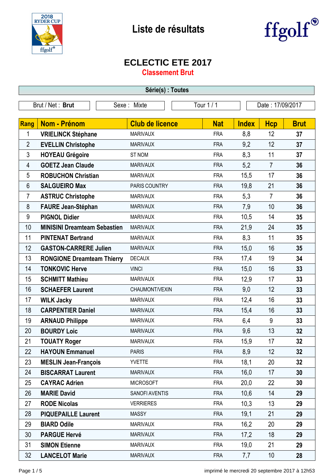



## **ECLECTIC ETE 2017**

**Classement Brut**

| Série(s) : Toutes                                                 |                                     |                        |            |              |                |             |
|-------------------------------------------------------------------|-------------------------------------|------------------------|------------|--------------|----------------|-------------|
| Tour 1 / 1<br>Brut / Net: Brut<br>Date: 17/09/2017<br>Sexe: Mixte |                                     |                        |            |              |                |             |
|                                                                   |                                     |                        |            |              |                |             |
| <b>Rang</b>                                                       | <b>Nom - Prénom</b>                 | <b>Club de licence</b> | <b>Nat</b> | <b>Index</b> | <b>Hcp</b>     | <b>Brut</b> |
| 1                                                                 | <b>VRIELINCK Stéphane</b>           | <b>MARIVAUX</b>        | <b>FRA</b> | 8,8          | 12             | 37          |
| $\overline{2}$                                                    | <b>EVELLIN Christophe</b>           | <b>MARIVAUX</b>        | <b>FRA</b> | 9,2          | 12             | 37          |
| $\mathfrak{Z}$                                                    | <b>HOYEAU Grégoire</b>              | <b>ST NOM</b>          | <b>FRA</b> | 8,3          | 11             | 37          |
| 4                                                                 | <b>GOETZ Jean Claude</b>            | <b>MARIVAUX</b>        | <b>FRA</b> | 5,2          | $\overline{7}$ | 36          |
| 5                                                                 | <b>ROBUCHON Christian</b>           | <b>MARIVAUX</b>        | <b>FRA</b> | 15,5         | 17             | 36          |
| 6                                                                 | <b>SALGUEIRO Max</b>                | PARIS COUNTRY          | <b>FRA</b> | 19,8         | 21             | 36          |
| $\overline{7}$                                                    | <b>ASTRUC Christophe</b>            | <b>MARIVAUX</b>        | <b>FRA</b> | 5,3          | $\overline{7}$ | 36          |
| 8                                                                 | <b>FAURE Jean-Stéphan</b>           | <b>MARIVAUX</b>        | <b>FRA</b> | 7,9          | 10             | 36          |
| 9                                                                 | <b>PIGNOL Didier</b>                | <b>MARIVAUX</b>        | <b>FRA</b> | 10,5         | 14             | 35          |
| 10                                                                | <b>MINISINI Dreamteam Sebastien</b> | <b>MARIVAUX</b>        | <b>FRA</b> | 21,9         | 24             | 35          |
| 11                                                                | <b>PINTENAT Bertrand</b>            | <b>MARIVAUX</b>        | <b>FRA</b> | 8,3          | 11             | 35          |
| 12                                                                | <b>GASTON-CARRERE Julien</b>        | <b>MARIVAUX</b>        | <b>FRA</b> | 15,0         | 16             | 35          |
| 13                                                                | <b>RONGIONE Dreamteam Thierry</b>   | <b>DECAUX</b>          | <b>FRA</b> | 17,4         | 19             | 34          |
| 14                                                                | <b>TONKOVIC Herve</b>               | <b>VINCI</b>           | <b>FRA</b> | 15,0         | 16             | 33          |
| 15                                                                | <b>SCHMITT Mathieu</b>              | <b>MARIVAUX</b>        | <b>FRA</b> | 12,9         | 17             | 33          |
| 16                                                                | <b>SCHAEFER Laurent</b>             | CHAUMONT/VEXIN         | <b>FRA</b> | 9,0          | 12             | 33          |
| 17                                                                | <b>WILK Jacky</b>                   | <b>MARIVAUX</b>        | <b>FRA</b> | 12,4         | 16             | 33          |
| 18                                                                | <b>CARPENTIER Daniel</b>            | <b>MARIVAUX</b>        | <b>FRA</b> | 15,4         | 16             | 33          |
| 19                                                                | <b>ARNAUD Philippe</b>              | <b>MARIVAUX</b>        | <b>FRA</b> | 6,4          | 9              | 33          |
| 20                                                                | <b>BOURDY Loic</b>                  | <b>MARIVAUX</b>        | <b>FRA</b> | 9,6          | 13             | 32          |
| 21                                                                | <b>TOUATY Roger</b>                 | <b>MARIVAUX</b>        | <b>FRA</b> | 15,9         | 17             | 32          |
| 22                                                                | <b>HAYOUN Emmanuel</b>              | <b>PARIS</b>           | <b>FRA</b> | 8,9          | 12             | 32          |
| 23                                                                | <b>MESLIN Jean-François</b>         | <b>YVETTE</b>          | <b>FRA</b> | 18,1         | 20             | 32          |
| 24                                                                | <b>BISCARRAT Laurent</b>            | <b>MARIVAUX</b>        | <b>FRA</b> | 16,0         | 17             | 30          |
| 25                                                                | <b>CAYRAC Adrien</b>                | <b>MICROSOFT</b>       | <b>FRA</b> | 20,0         | 22             | 30          |
| 26                                                                | <b>MARIE David</b>                  | SANOFI AVENTIS         | <b>FRA</b> | 10,6         | 14             | 29          |
| 27                                                                | <b>RODE Nicolas</b>                 | <b>VERRIERES</b>       | <b>FRA</b> | 10,3         | 13             | 29          |
| 28                                                                | <b>PIQUEPAILLE Laurent</b>          | <b>MASSY</b>           | <b>FRA</b> | 19,1         | 21             | 29          |
| 29                                                                | <b>BIARD Odile</b>                  | <b>MARIVAUX</b>        | <b>FRA</b> | 16,2         | 20             | 29          |
| 30                                                                | <b>PARGUE Hervé</b>                 | <b>MARIVAUX</b>        | <b>FRA</b> | 17,2         | 18             | 29          |
| 31                                                                | <b>SIMON Etienne</b>                | <b>MARIVAUX</b>        | <b>FRA</b> | 19,0         | 21             | 29          |
| 32                                                                | <b>LANCELOT Marie</b>               | <b>MARIVAUX</b>        | <b>FRA</b> | 7,7          | 10             | 28          |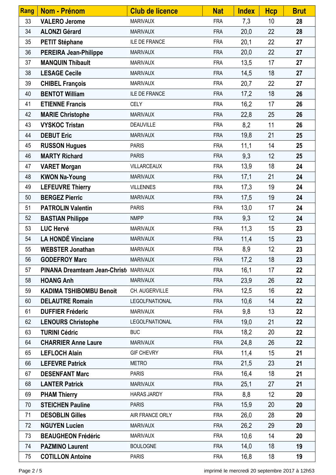| Rang | Nom - Prénom                           | <b>Club de licence</b> | <b>Nat</b> | <b>Index</b> | <b>Hcp</b> | <b>Brut</b> |
|------|----------------------------------------|------------------------|------------|--------------|------------|-------------|
| 33   | <b>VALERO Jerome</b>                   | <b>MARIVAUX</b>        | <b>FRA</b> | 7,3          | 10         | 28          |
| 34   | <b>ALONZI Gérard</b>                   | <b>MARIVAUX</b>        | <b>FRA</b> | 20,0         | 22         | 28          |
| 35   | <b>PETIT Stéphane</b>                  | <b>ILE DE FRANCE</b>   | <b>FRA</b> | 20,1         | 22         | 27          |
| 36   | <b>PEREIRA Jean-Philippe</b>           | <b>MARIVAUX</b>        | <b>FRA</b> | 20,0         | 22         | 27          |
| 37   | <b>MANQUIN Thibault</b>                | <b>MARIVAUX</b>        | <b>FRA</b> | 13,5         | 17         | 27          |
| 38   | <b>LESAGE Cecile</b>                   | <b>MARIVAUX</b>        | <b>FRA</b> | 14,5         | 18         | 27          |
| 39   | <b>CHIBEL François</b>                 | <b>MARIVAUX</b>        | <b>FRA</b> | 20,7         | 22         | 27          |
| 40   | <b>BENTOT William</b>                  | <b>ILE DE FRANCE</b>   | <b>FRA</b> | 17,2         | 18         | 26          |
| 41   | <b>ETIENNE Francis</b>                 | <b>CELY</b>            | <b>FRA</b> | 16,2         | 17         | 26          |
| 42   | <b>MARIE Christophe</b>                | <b>MARIVAUX</b>        | <b>FRA</b> | 22,8         | 25         | 26          |
| 43   | <b>VYSKOC Tristan</b>                  | <b>DEAUVILLE</b>       | <b>FRA</b> | 8,2          | 11         | 26          |
| 44   | <b>DEBUT Eric</b>                      | <b>MARIVAUX</b>        | <b>FRA</b> | 19,8         | 21         | 25          |
| 45   | <b>RUSSON Hugues</b>                   | <b>PARIS</b>           | <b>FRA</b> | 11,1         | 14         | 25          |
| 46   | <b>MARTY Richard</b>                   | <b>PARIS</b>           | <b>FRA</b> | 9,3          | 12         | 25          |
| 47   | <b>VARET Morgan</b>                    | VILLARCEAUX            | <b>FRA</b> | 13,9         | 18         | 24          |
| 48   | <b>KWON Na-Young</b>                   | <b>MARIVAUX</b>        | <b>FRA</b> | 17,1         | 21         | 24          |
| 49   | <b>LEFEUVRE Thierry</b>                | <b>VILLENNES</b>       | <b>FRA</b> | 17,3         | 19         | 24          |
| 50   | <b>BERGEZ Pierric</b>                  | <b>MARIVAUX</b>        | <b>FRA</b> | 17,5         | 19         | 24          |
| 51   | <b>PATROLIN Valentin</b>               | <b>PARIS</b>           | <b>FRA</b> | 13,0         | 17         | 24          |
| 52   | <b>BASTIAN Philippe</b>                | <b>NMPP</b>            | <b>FRA</b> | 9,3          | 12         | 24          |
| 53   | <b>LUC Hervé</b>                       | <b>MARIVAUX</b>        | <b>FRA</b> | 11,3         | 15         | 23          |
| 54   | <b>LA HONDÉ Vinciane</b>               | <b>MARIVAUX</b>        | <b>FRA</b> | 11,4         | 15         | 23          |
| 55   | <b>WEBSTER Jonathan</b>                | <b>MARIVAUX</b>        | <b>FRA</b> | 8,9          | 12         | 23          |
| 56   | <b>GODEFROY Marc</b>                   | <b>MARIVAUX</b>        | <b>FRA</b> | 17,2         | 18         | 23          |
| 57   | PINANA Dreamteam Jean-Christ( MARIVAUX |                        | <b>FRA</b> | 16,1         | 17         | 22          |
| 58   | <b>HOANG Anh</b>                       | <b>MARIVAUX</b>        | <b>FRA</b> | 23,9         | 26         | 22          |
| 59   | <b>KADIMA TSHIBOMBU Benoit</b>         | CH. AUGERVILLE         | <b>FRA</b> | 12,5         | 16         | 22          |
| 60   | <b>DELAUTRE Romain</b>                 | LEGOLFNATIONAL         | <b>FRA</b> | 10,6         | 14         | 22          |
| 61   | <b>DUFFIER Fréderic</b>                | <b>MARIVAUX</b>        | <b>FRA</b> | 9,8          | 13         | 22          |
| 62   | <b>LENOURS Christophe</b>              | <b>LEGOLFNATIONAL</b>  | <b>FRA</b> | 19,0         | 21         | 22          |
| 63   | <b>TURINI Cédric</b>                   | <b>BUC</b>             | <b>FRA</b> | 18,2         | 20         | 22          |
| 64   | <b>CHARRIER Anne Laure</b>             | <b>MARIVAUX</b>        | <b>FRA</b> | 24,8         | 26         | 22          |
| 65   | <b>LEFLOCH Alain</b>                   | <b>GIF CHEVRY</b>      | <b>FRA</b> | 11,4         | 15         | 21          |
| 66   | <b>LEFEVRE Patrick</b>                 | <b>METRO</b>           | <b>FRA</b> | 21,5         | 23         | 21          |
| 67   | <b>DESENFANT Marc</b>                  | <b>PARIS</b>           | <b>FRA</b> | 16,4         | 18         | 21          |
| 68   | <b>LANTER Patrick</b>                  | <b>MARIVAUX</b>        | <b>FRA</b> | 25,1         | 27         | 21          |
| 69   | <b>PHAM Thierry</b>                    | <b>HARAS JARDY</b>     | <b>FRA</b> | 8,8          | 12         | 20          |
| 70   | <b>STEICHEN Pauline</b>                | <b>PARIS</b>           | <b>FRA</b> | 15,9         | 20         | 20          |
| 71   | <b>DESOBLIN Gilles</b>                 | AIR FRANCE ORLY        | <b>FRA</b> | 26,0         | 28         | 20          |
| 72   | <b>NGUYEN Lucien</b>                   | <b>MARIVAUX</b>        | <b>FRA</b> | 26,2         | 29         | 20          |
| 73   | <b>BEAUGHEON Frédéric</b>              | <b>MARIVAUX</b>        | <b>FRA</b> | 10,6         | 14         | 20          |
| 74   | <b>PAZMINO Laurent</b>                 | <b>BOULOGNE</b>        | <b>FRA</b> | 14,0         | 18         | 19          |
| 75   | <b>COTILLON Antoine</b>                | <b>PARIS</b>           | <b>FRA</b> | 16,8         | 18         | 19          |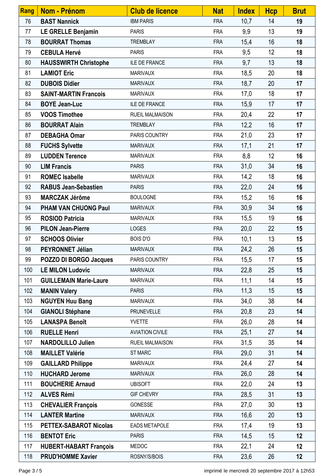| <b>Rang</b> | <b>Nom - Prénom</b>           | <b>Club de licence</b> | <b>Nat</b> | <b>Index</b> | <b>Hcp</b> | <b>Brut</b> |
|-------------|-------------------------------|------------------------|------------|--------------|------------|-------------|
| 76          | <b>BAST Nannick</b>           | <b>IBM PARIS</b>       | <b>FRA</b> | 10,7         | 14         | 19          |
| 77          | LE GRELLE Benjamin            | <b>PARIS</b>           | <b>FRA</b> | 9,9          | 13         | 19          |
| 78          | <b>BOURRAT Thomas</b>         | <b>TREMBLAY</b>        | <b>FRA</b> | 15,4         | 16         | 18          |
| 79          | <b>CEBULA Hervé</b>           | <b>PARIS</b>           | <b>FRA</b> | 9,5          | 12         | 18          |
| 80          | <b>HAUSSWIRTH Christophe</b>  | ILE DE FRANCE          | <b>FRA</b> | 9,7          | 13         | 18          |
| 81          | <b>LAMIOT Eric</b>            | <b>MARIVAUX</b>        | <b>FRA</b> | 18,5         | 20         | 18          |
| 82          | <b>DUBOIS Didier</b>          | <b>MARIVAUX</b>        | <b>FRA</b> | 18,7         | 20         | 17          |
| 83          | <b>SAINT-MARTIN Francois</b>  | <b>MARIVAUX</b>        | <b>FRA</b> | 17,0         | 18         | 17          |
| 84          | <b>BOYE Jean-Luc</b>          | <b>ILE DE FRANCE</b>   | <b>FRA</b> | 15,9         | 17         | 17          |
| 85          | <b>VOOS Timothee</b>          | <b>RUEIL MALMAISON</b> | <b>FRA</b> | 20,4         | 22         | 17          |
| 86          | <b>BOURRAT Alain</b>          | <b>TREMBLAY</b>        | <b>FRA</b> | 12,2         | 16         | 17          |
| 87          | <b>DEBAGHA Omar</b>           | PARIS COUNTRY          | <b>FRA</b> | 21,0         | 23         | 17          |
| 88          | <b>FUCHS Sylvette</b>         | <b>MARIVAUX</b>        | <b>FRA</b> | 17,1         | 21         | 17          |
| 89          | <b>LUDDEN Terence</b>         | <b>MARIVAUX</b>        | <b>FRA</b> | 8,8          | 12         | 16          |
| 90          | <b>LIM Francis</b>            | <b>PARIS</b>           | <b>FRA</b> | 31,0         | 34         | 16          |
| 91          | <b>ROMEC Isabelle</b>         | <b>MARIVAUX</b>        | <b>FRA</b> | 14,2         | 18         | 16          |
| 92          | <b>RABUS Jean-Sebastien</b>   | <b>PARIS</b>           | <b>FRA</b> | 22,0         | 24         | 16          |
| 93          | <b>MARCZAK Jérôme</b>         | <b>BOULOGNE</b>        | <b>FRA</b> | 15,2         | 16         | 16          |
| 94          | <b>PHAM VAN CHUONG Paul</b>   | <b>MARIVAUX</b>        | <b>FRA</b> | 30,9         | 34         | 16          |
| 95          | <b>ROSIOD Patricia</b>        | <b>MARIVAUX</b>        | <b>FRA</b> | 15,5         | 19         | 16          |
| 96          | <b>PILON Jean-Pierre</b>      | <b>LOGES</b>           | <b>FRA</b> | 20,0         | 22         | 15          |
| 97          | <b>SCHOOS Olivier</b>         | <b>BOIS D'O</b>        | <b>FRA</b> | 10,1         | 13         | 15          |
| 98          | PEYRONNET Jélian              | <b>MARIVAUX</b>        | <b>FRA</b> | 24,2         | 26         | 15          |
| 99          | POZZO DI BORGO Jacques        | <b>PARIS COUNTRY</b>   | FRA        | 15,5         | 17         | 15          |
| 100         | <b>LE MILON Ludovic</b>       | <b>MARIVAUX</b>        | <b>FRA</b> | 22,8         | 25         | 15          |
| 101         | <b>GUILLEMAIN Marie-Laure</b> | <b>MARIVAUX</b>        | <b>FRA</b> | 11,1         | 14         | 15          |
| 102         | <b>MANIN Valery</b>           | <b>PARIS</b>           | <b>FRA</b> | 11,3         | 15         | 15          |
| 103         | <b>NGUYEN Huu Bang</b>        | <b>MARIVAUX</b>        | <b>FRA</b> | 34,0         | 38         | 14          |
| 104         | <b>GIANOLI Stéphane</b>       | <b>PRUNEVELLE</b>      | <b>FRA</b> | 20,8         | 23         | 14          |
| 105         | <b>LANASPA Benoît</b>         | <b>YVETTE</b>          | <b>FRA</b> | 26,0         | 28         | 14          |
| 106         | <b>RUELLE Henri</b>           | <b>AVIATION CIVILE</b> | <b>FRA</b> | 25,1         | 27         | 14          |
| 107         | <b>NARDOLILLO Julien</b>      | <b>RUEIL MALMAISON</b> | <b>FRA</b> | 31,5         | 35         | 14          |
| 108         | <b>MAILLET Valérie</b>        | <b>ST MARC</b>         | <b>FRA</b> | 29,0         | 31         | 14          |
| 109         | <b>GAILLARD Philippe</b>      | <b>MARIVAUX</b>        | <b>FRA</b> | 24,4         | 27         | 14          |
| 110         | <b>HUCHARD Jerome</b>         | <b>MARIVAUX</b>        | <b>FRA</b> | 26,0         | 28         | 14          |
| 111         | <b>BOUCHERIE Arnaud</b>       | <b>UBISOFT</b>         | <b>FRA</b> | 22,0         | 24         | 13          |
| 112         | <b>ALVES Rémi</b>             | <b>GIF CHEVRY</b>      | <b>FRA</b> | 28,5         | 31         | 13          |
| 113         | <b>CHEVALIER François</b>     | GONESSE                | <b>FRA</b> | 27,0         | 30         | 13          |
| 114         | <b>LANTER Martine</b>         | <b>MARIVAUX</b>        | <b>FRA</b> | 16,6         | 20         | 13          |
| 115         | <b>PETTEX-SABAROT Nicolas</b> | <b>EADS METAPOLE</b>   | <b>FRA</b> | 17,4         | 19         | 13          |
| 116         | <b>BENTOT Eric</b>            | <b>PARIS</b>           | <b>FRA</b> | 14,5         | 15         | 12          |
| 117         | <b>HUBERT-HABART François</b> | <b>MEDOC</b>           | <b>FRA</b> | 22,1         | 24         | 12          |
| 118         | <b>PRUD'HOMME Xavier</b>      | ROSNY/S/BOIS           | <b>FRA</b> | 23,6         | 26         | 12          |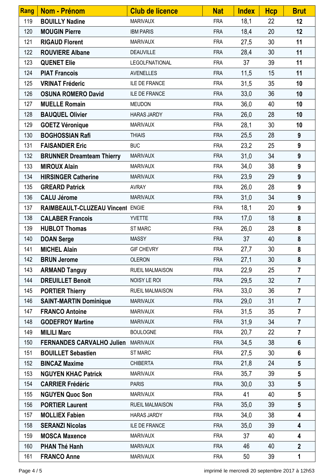| Rang | Nom - Prénom                     | <b>Club de licence</b> | <b>Nat</b> | <b>Index</b> | <b>Hcp</b> | <b>Brut</b>      |
|------|----------------------------------|------------------------|------------|--------------|------------|------------------|
| 119  | <b>BOUILLY Nadine</b>            | <b>MARIVAUX</b>        | <b>FRA</b> | 18,1         | 22         | 12 <sub>2</sub>  |
| 120  | <b>MOUGIN Pierre</b>             | <b>IBM PARIS</b>       | <b>FRA</b> | 18,4         | 20         | 12               |
| 121  | <b>RIGAUD Florent</b>            | <b>MARIVAUX</b>        | <b>FRA</b> | 27,5         | 30         | 11               |
| 122  | <b>ROUVIERE Albane</b>           | <b>DEAUVILLE</b>       | <b>FRA</b> | 28,4         | 30         | 11               |
| 123  | <b>QUENET Elie</b>               | LEGOLFNATIONAL         | <b>FRA</b> | 37           | 39         | 11               |
| 124  | <b>PIAT Francois</b>             | <b>AVENELLES</b>       | <b>FRA</b> | 11,5         | 15         | 11               |
| 125  | <b>VRINAT Fréderic</b>           | ILE DE FRANCE          | <b>FRA</b> | 31,5         | 35         | 10               |
| 126  | <b>OSUNA ROMERO David</b>        | <b>ILE DE FRANCE</b>   | <b>FRA</b> | 33,0         | 36         | 10               |
| 127  | <b>MUELLE Romain</b>             | <b>MEUDON</b>          | <b>FRA</b> | 36,0         | 40         | 10               |
| 128  | <b>BAUQUEL Olivier</b>           | <b>HARAS JARDY</b>     | <b>FRA</b> | 26,0         | 28         | 10               |
| 129  | <b>GOETZ Véronique</b>           | <b>MARIVAUX</b>        | <b>FRA</b> | 28,1         | 30         | 10               |
| 130  | <b>BOGHOSSIAN Rafi</b>           | <b>THIAIS</b>          | <b>FRA</b> | 25,5         | 28         | 9                |
| 131  | <b>FAISANDIER Eric</b>           | <b>BUC</b>             | <b>FRA</b> | 23,2         | 25         | 9                |
| 132  | <b>BRUNNER Dreamteam Thierry</b> | <b>MARIVAUX</b>        | <b>FRA</b> | 31,0         | 34         | $\boldsymbol{9}$ |
| 133  | <b>MIROUX Alain</b>              | <b>MARIVAUX</b>        | <b>FRA</b> | 34,0         | 38         | 9                |
| 134  | <b>HIRSINGER Catherine</b>       | <b>MARIVAUX</b>        | <b>FRA</b> | 23,9         | 29         | $\boldsymbol{9}$ |
| 135  | <b>GREARD Patrick</b>            | <b>AVRAY</b>           | <b>FRA</b> | 26,0         | 28         | $\boldsymbol{9}$ |
| 136  | <b>CALU Jérome</b>               | <b>MARIVAUX</b>        | <b>FRA</b> | 31,0         | 34         | $\boldsymbol{9}$ |
| 137  | RAIMBEAULT-CLUZEAU Vincent ENGIE |                        | <b>FRA</b> | 18,1         | 20         | 9                |
| 138  | <b>CALABER Francois</b>          | <b>YVETTE</b>          | <b>FRA</b> | 17,0         | 18         | $\boldsymbol{8}$ |
| 139  | <b>HUBLOT Thomas</b>             | <b>ST MARC</b>         | <b>FRA</b> | 26,0         | 28         | 8                |
| 140  | <b>DOAN Serge</b>                | <b>MASSY</b>           | <b>FRA</b> | 37           | 40         | 8                |
| 141  | <b>MICHEL Alain</b>              | <b>GIF CHEVRY</b>      | <b>FRA</b> | 27,7         | 30         | 8                |
| 142  | <b>BRUN Jerome</b>               | <b>OLERON</b>          | <b>FRA</b> | 27,1         | 30         | 8                |
| 143  | <b>ARMAND Tanguy</b>             | <b>RUEIL MALMAISON</b> | <b>FRA</b> | 22,9         | 25         | $\overline{7}$   |
| 144  | <b>DREUILLET Benoit</b>          | NOISY LE ROI           | <b>FRA</b> | 29,5         | 32         | $\overline{7}$   |
| 145  | <b>PORTIER Thierry</b>           | <b>RUEIL MALMAISON</b> | <b>FRA</b> | 33,0         | 36         | $\overline{7}$   |
| 146  | <b>SAINT-MARTIN Dominique</b>    | <b>MARIVAUX</b>        | <b>FRA</b> | 29,0         | 31         | $\overline{7}$   |
| 147  | <b>FRANCO Antoine</b>            | <b>MARIVAUX</b>        | <b>FRA</b> | 31,5         | 35         | $\overline{7}$   |
| 148  | <b>GODEFROY Martine</b>          | <b>MARIVAUX</b>        | <b>FRA</b> | 31,9         | 34         | $\overline{7}$   |
| 149  | <b>MILILI Marc</b>               | <b>BOULOGNE</b>        | <b>FRA</b> | 20,7         | 22         | $\overline{7}$   |
| 150  | <b>FERNANDES CARVALHO Julien</b> | <b>MARIVAUX</b>        | <b>FRA</b> | 34,5         | 38         | $6\phantom{1}$   |
| 151  | <b>BOUILLET Sebastien</b>        | <b>ST MARC</b>         | <b>FRA</b> | 27,5         | 30         | 6                |
| 152  | <b>BINCAZ Maxime</b>             | <b>CHIBERTA</b>        | <b>FRA</b> | 21,8         | 24         | $5\phantom{.0}$  |
| 153  | <b>NGUYEN KHAC Patrick</b>       | <b>MARIVAUX</b>        | <b>FRA</b> | 35,7         | 39         | $5\phantom{.0}$  |
| 154  | <b>CARRIER Frédéric</b>          | <b>PARIS</b>           | <b>FRA</b> | 30,0         | 33         | $5\phantom{.0}$  |
| 155  | <b>NGUYEN Quoc Son</b>           | <b>MARIVAUX</b>        | <b>FRA</b> | 41           | 40         | $5\phantom{.0}$  |
| 156  | <b>PORTIER Laurent</b>           | <b>RUEIL MALMAISON</b> | <b>FRA</b> | 35,0         | 39         | $5\phantom{.0}$  |
| 157  | <b>MOLLIEX Fabien</b>            | <b>HARAS JARDY</b>     | <b>FRA</b> | 34,0         | 38         | 4                |
| 158  | <b>SERANZI Nicolas</b>           | <b>ILE DE FRANCE</b>   | <b>FRA</b> | 35,0         | 39         | 4                |
| 159  | <b>MOSCA Maxence</b>             | <b>MARIVAUX</b>        | <b>FRA</b> | 37           | 40         | 4                |
| 160  | <b>PHAN Thé Hanh</b>             | <b>MARIVAUX</b>        | <b>FRA</b> | 46           | 40         | $\mathbf{2}$     |
| 161  | <b>FRANCO Anne</b>               | <b>MARIVAUX</b>        | <b>FRA</b> | 50           | 39         | 1                |